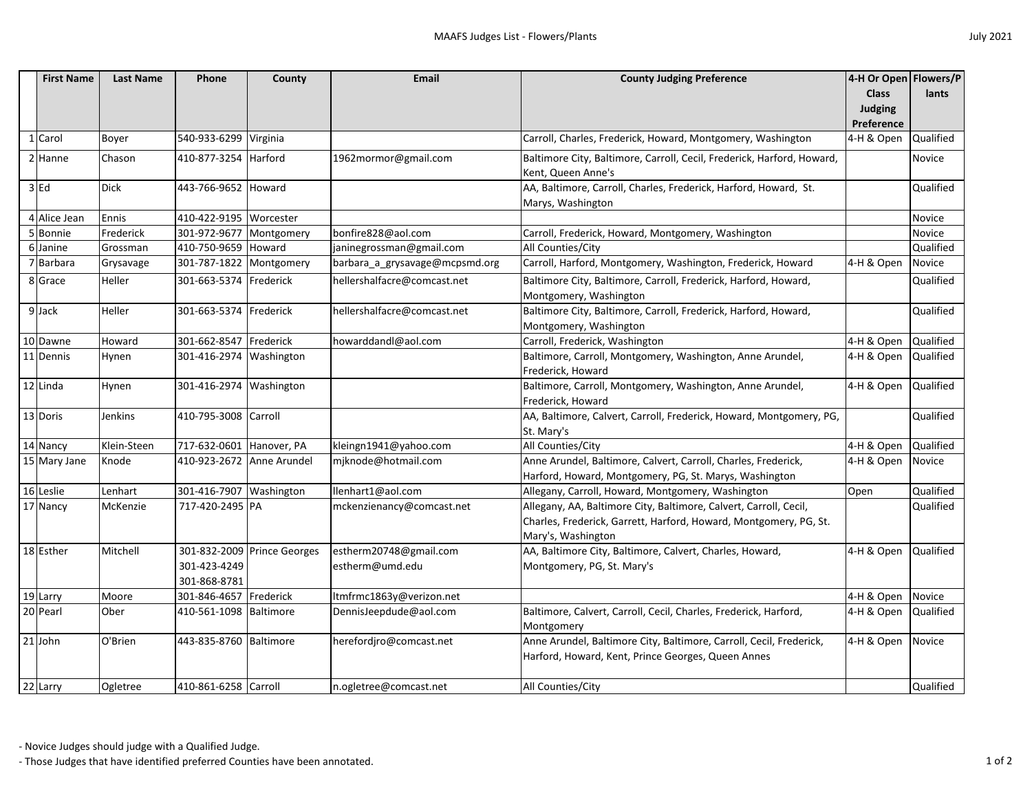|  | <b>July 2021</b> |
|--|------------------|
|--|------------------|

|  | <b>First Name</b> | <b>Last Name</b> | Phone                     | <b>County</b>               | <b>Email</b>                   | <b>County Judging Preference</b>                                       | 4-H Or Open Flowers/P          |           |
|--|-------------------|------------------|---------------------------|-----------------------------|--------------------------------|------------------------------------------------------------------------|--------------------------------|-----------|
|  |                   |                  |                           |                             |                                |                                                                        | <b>Class</b><br><b>Judging</b> | lants     |
|  |                   |                  |                           |                             |                                |                                                                        |                                |           |
|  |                   |                  |                           |                             |                                |                                                                        | Preference                     |           |
|  | Carol             | Boyer            | 540-933-6299 Virginia     |                             |                                | Carroll, Charles, Frederick, Howard, Montgomery, Washington            | 4-H & Open                     | Qualified |
|  | 2 Hanne           | Chason           | 410-877-3254 Harford      |                             | 1962mormor@gmail.com           | Baltimore City, Baltimore, Carroll, Cecil, Frederick, Harford, Howard, |                                | Novice    |
|  |                   |                  |                           |                             |                                | Kent, Queen Anne's                                                     |                                |           |
|  | $3$ Ed            | <b>Dick</b>      | 443-766-9652 Howard       |                             |                                | AA, Baltimore, Carroll, Charles, Frederick, Harford, Howard, St.       |                                | Qualified |
|  |                   |                  |                           |                             |                                | Marys, Washington                                                      |                                |           |
|  | 4 Alice Jean      | Ennis            | 410-422-9195 Worcester    |                             |                                |                                                                        |                                | Novice    |
|  | 5 Bonnie          | Frederick        | 301-972-9677 Montgomery   |                             | bonfire828@aol.com             | Carroll, Frederick, Howard, Montgomery, Washington                     |                                | Novice    |
|  | 6 Janine          | Grossman         | 410-750-9659 Howard       |                             | janinegrossman@gmail.com       | All Counties/City                                                      |                                | Qualified |
|  | 7 Barbara         | Grysavage        | 301-787-1822 Montgomery   |                             | barbara_a_grysavage@mcpsmd.org | Carroll, Harford, Montgomery, Washington, Frederick, Howard            | 4-H & Open                     | Novice    |
|  | 8 Grace           | Heller           | 301-663-5374 Frederick    |                             | hellershalfacre@comcast.net    | Baltimore City, Baltimore, Carroll, Frederick, Harford, Howard,        |                                | Qualified |
|  |                   |                  |                           |                             |                                | Montgomery, Washington                                                 |                                |           |
|  | 9 Jack            | Heller           | 301-663-5374 Frederick    |                             | hellershalfacre@comcast.net    | Baltimore City, Baltimore, Carroll, Frederick, Harford, Howard,        |                                | Qualified |
|  |                   |                  |                           |                             |                                | Montgomery, Washington                                                 |                                |           |
|  | 10 Dawne          | Howard           | 301-662-8547 Frederick    |                             | howarddandl@aol.com            | Carroll, Frederick, Washington                                         | 4-H & Open                     | Qualified |
|  | 11 Dennis         | Hynen            | 301-416-2974 Washington   |                             |                                | Baltimore, Carroll, Montgomery, Washington, Anne Arundel,              | 4-H & Open                     | Qualified |
|  |                   |                  |                           |                             |                                | Frederick, Howard                                                      |                                |           |
|  | 12 Linda          | Hynen            | 301-416-2974 Washington   |                             |                                | Baltimore, Carroll, Montgomery, Washington, Anne Arundel,              | 4-H & Open                     | Qualified |
|  |                   |                  |                           |                             |                                | Frederick, Howard                                                      |                                |           |
|  | 13 Doris          | Jenkins          | 410-795-3008 Carroll      |                             |                                | AA, Baltimore, Calvert, Carroll, Frederick, Howard, Montgomery, PG,    |                                | Qualified |
|  |                   |                  |                           |                             |                                | St. Mary's                                                             |                                |           |
|  | 14 Nancy          | Klein-Steen      | 717-632-0601 Hanover, PA  |                             | kleingn1941@yahoo.com          | All Counties/City                                                      | 4-H & Open                     | Qualified |
|  | 15 Mary Jane      | Knode            | 410-923-2672 Anne Arundel |                             | mjknode@hotmail.com            | Anne Arundel, Baltimore, Calvert, Carroll, Charles, Frederick,         | 4-H & Open Novice              |           |
|  |                   |                  |                           |                             |                                | Harford, Howard, Montgomery, PG, St. Marys, Washington                 |                                |           |
|  | 16 Leslie         | Lenhart          | 301-416-7907 Washington   |                             | llenhart1@aol.com              | Allegany, Carroll, Howard, Montgomery, Washington                      | Open                           | Qualified |
|  | 17 Nancy          | McKenzie         | 717-420-2495 PA           |                             | mckenzienancy@comcast.net      | Allegany, AA, Baltimore City, Baltimore, Calvert, Carroll, Cecil,      |                                | Qualified |
|  |                   |                  |                           |                             |                                | Charles, Frederick, Garrett, Harford, Howard, Montgomery, PG, St.      |                                |           |
|  |                   |                  |                           |                             |                                | Mary's, Washington                                                     |                                |           |
|  | 18 Esther         | Mitchell         |                           | 301-832-2009 Prince Georges | estherm20748@gmail.com         | AA, Baltimore City, Baltimore, Calvert, Charles, Howard,               | 4-H & Open Qualified           |           |
|  |                   |                  | 301-423-4249              |                             | estherm@umd.edu                | Montgomery, PG, St. Mary's                                             |                                |           |
|  |                   |                  | 301-868-8781              |                             |                                |                                                                        |                                |           |
|  | 19 Larry          | Moore            | 301-846-4657 Frederick    |                             | ltmfrmc1863y@verizon.net       |                                                                        | 4-H & Open Novice              |           |
|  | 20 Pearl          | Ober             | 410-561-1098   Baltimore  |                             | DennisJeepdude@aol.com         | Baltimore, Calvert, Carroll, Cecil, Charles, Frederick, Harford,       | 4-H & Open Qualified           |           |
|  |                   |                  |                           |                             |                                | Montgomery                                                             |                                |           |
|  | $21$ John         | O'Brien          | 443-835-8760 Baltimore    |                             | herefordjro@comcast.net        | Anne Arundel, Baltimore City, Baltimore, Carroll, Cecil, Frederick,    | 4-H & Open Novice              |           |
|  |                   |                  |                           |                             |                                | Harford, Howard, Kent, Prince Georges, Queen Annes                     |                                |           |
|  |                   |                  |                           |                             |                                |                                                                        |                                |           |
|  | 22 Larry          | Ogletree         | 410-861-6258 Carroll      |                             | n.ogletree@comcast.net         | All Counties/City                                                      |                                | Qualified |

- Those Judges that have identified preferred Counties have been annotated. 1 of 2